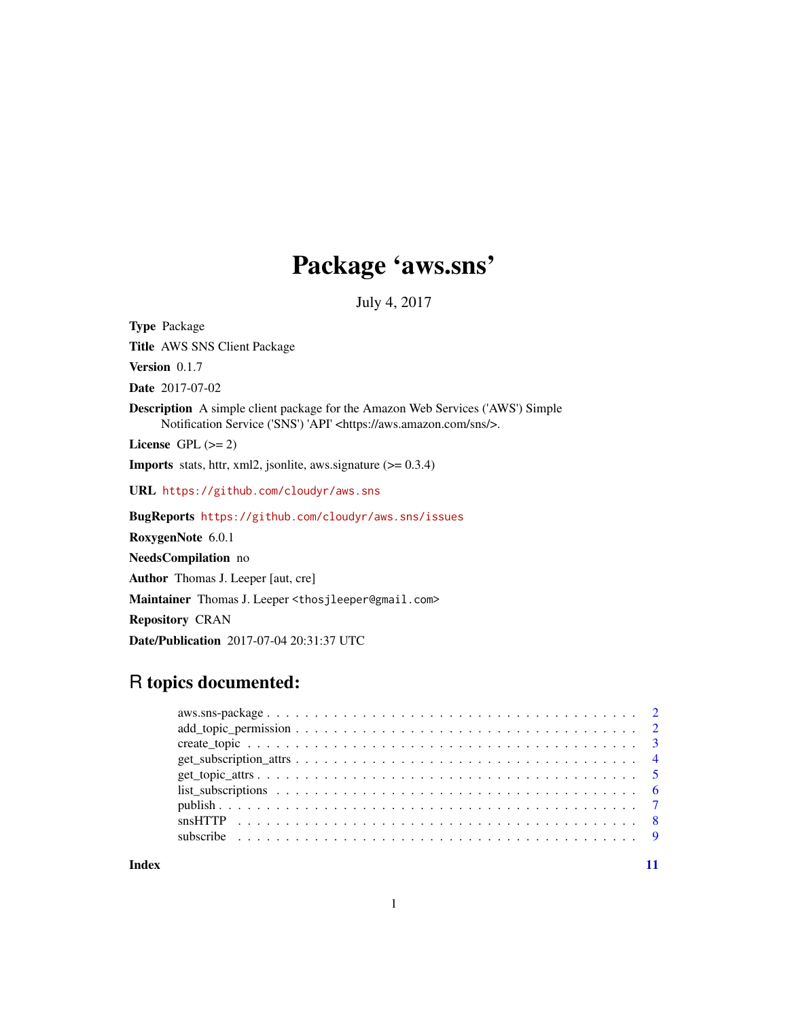# Package 'aws.sns'

July 4, 2017

<span id="page-0-0"></span>Type Package Title AWS SNS Client Package Version 0.1.7 Date 2017-07-02 Description A simple client package for the Amazon Web Services ('AWS') Simple Notification Service ('SNS') 'API' <https://aws.amazon.com/sns/>. License GPL  $(>= 2)$ **Imports** stats, httr, xml2, jsonlite, aws.signature  $(>= 0.3.4)$ URL <https://github.com/cloudyr/aws.sns> BugReports <https://github.com/cloudyr/aws.sns/issues> RoxygenNote 6.0.1 NeedsCompilation no Author Thomas J. Leeper [aut, cre] Maintainer Thomas J. Leeper <thosjleeper@gmail.com> Repository CRAN

# R topics documented:

Date/Publication 2017-07-04 20:31:37 UTC

**Index** [11](#page-10-0)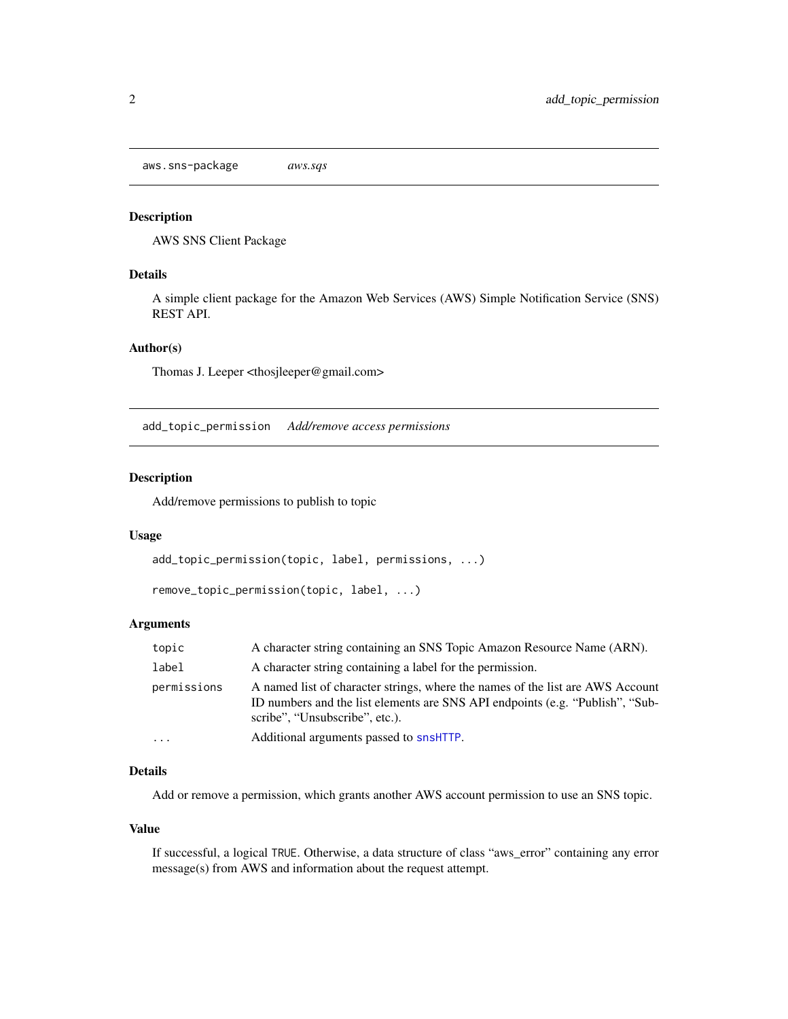<span id="page-1-0"></span>aws.sns-package *aws.sqs*

#### Description

AWS SNS Client Package

# Details

A simple client package for the Amazon Web Services (AWS) Simple Notification Service (SNS) REST API.

# Author(s)

Thomas J. Leeper <thosjleeper@gmail.com>

add\_topic\_permission *Add/remove access permissions*

# Description

Add/remove permissions to publish to topic

#### Usage

```
add_topic_permission(topic, label, permissions, ...)
```

```
remove_topic_permission(topic, label, ...)
```
#### Arguments

| topic       | A character string containing an SNS Topic Amazon Resource Name (ARN).                                                                                                                            |
|-------------|---------------------------------------------------------------------------------------------------------------------------------------------------------------------------------------------------|
| label       | A character string containing a label for the permission.                                                                                                                                         |
| permissions | A named list of character strings, where the names of the list are AWS Account<br>ID numbers and the list elements are SNS API endpoints (e.g. "Publish", "Sub-<br>scribe", "Unsubscribe", etc.). |
| $\ddots$ .  | Additional arguments passed to snsHTTP.                                                                                                                                                           |

# Details

Add or remove a permission, which grants another AWS account permission to use an SNS topic.

# Value

If successful, a logical TRUE. Otherwise, a data structure of class "aws\_error" containing any error message(s) from AWS and information about the request attempt.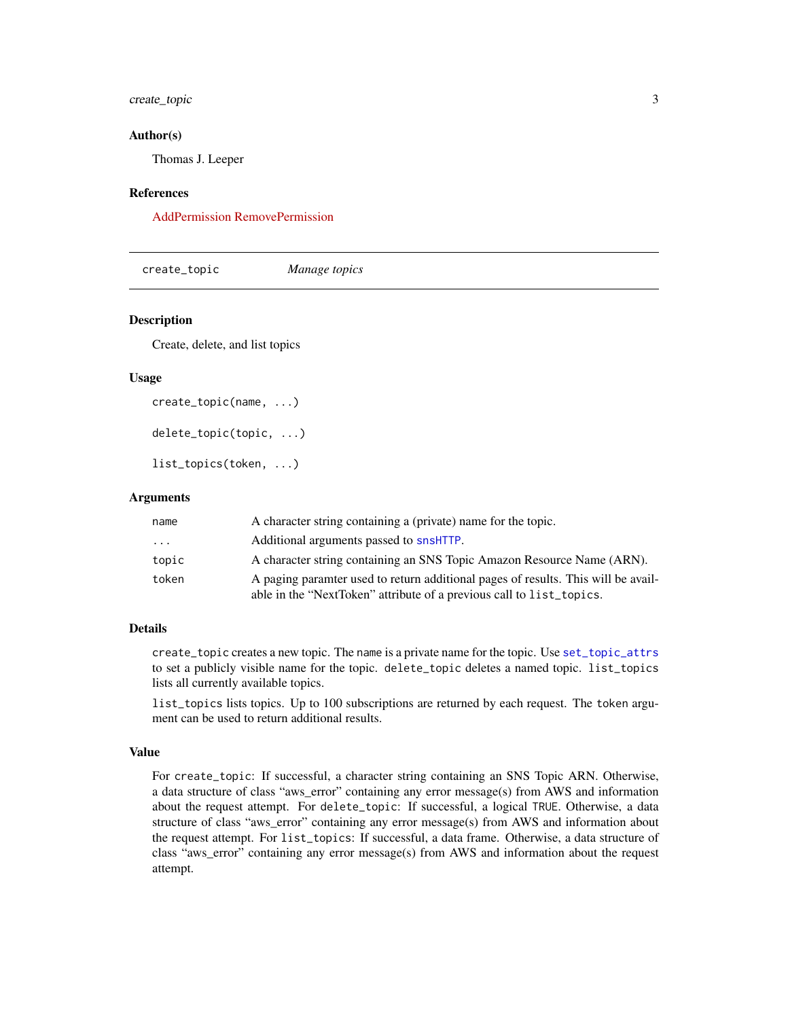# <span id="page-2-0"></span>create\_topic 3

#### Author(s)

Thomas J. Leeper

#### References

[AddPermission](http://docs.aws.amazon.com/sns/latest/api/API_AddPermission.html) [RemovePermission](http://docs.aws.amazon.com/sns/latest/api/API_RemovePermission.html)

create\_topic *Manage topics*

# Description

Create, delete, and list topics

#### Usage

```
create_topic(name, ...)
```
delete\_topic(topic, ...)

list\_topics(token, ...)

#### Arguments

| name  | A character string containing a (private) name for the topic.                                                                                             |
|-------|-----------------------------------------------------------------------------------------------------------------------------------------------------------|
| .     | Additional arguments passed to snsHTTP.                                                                                                                   |
| topic | A character string containing an SNS Topic Amazon Resource Name (ARN).                                                                                    |
| token | A paging paramter used to return additional pages of results. This will be avail-<br>able in the "NextToken" attribute of a previous call to list_topics. |

#### Details

create\_topic creates a new topic. The name is a private name for the topic. Use [set\\_topic\\_attrs](#page-4-1) to set a publicly visible name for the topic. delete\_topic deletes a named topic. list\_topics lists all currently available topics.

list\_topics lists topics. Up to 100 subscriptions are returned by each request. The token argument can be used to return additional results.

# Value

For create\_topic: If successful, a character string containing an SNS Topic ARN. Otherwise, a data structure of class "aws\_error" containing any error message(s) from AWS and information about the request attempt. For delete\_topic: If successful, a logical TRUE. Otherwise, a data structure of class "aws\_error" containing any error message(s) from AWS and information about the request attempt. For list\_topics: If successful, a data frame. Otherwise, a data structure of class "aws\_error" containing any error message(s) from AWS and information about the request attempt.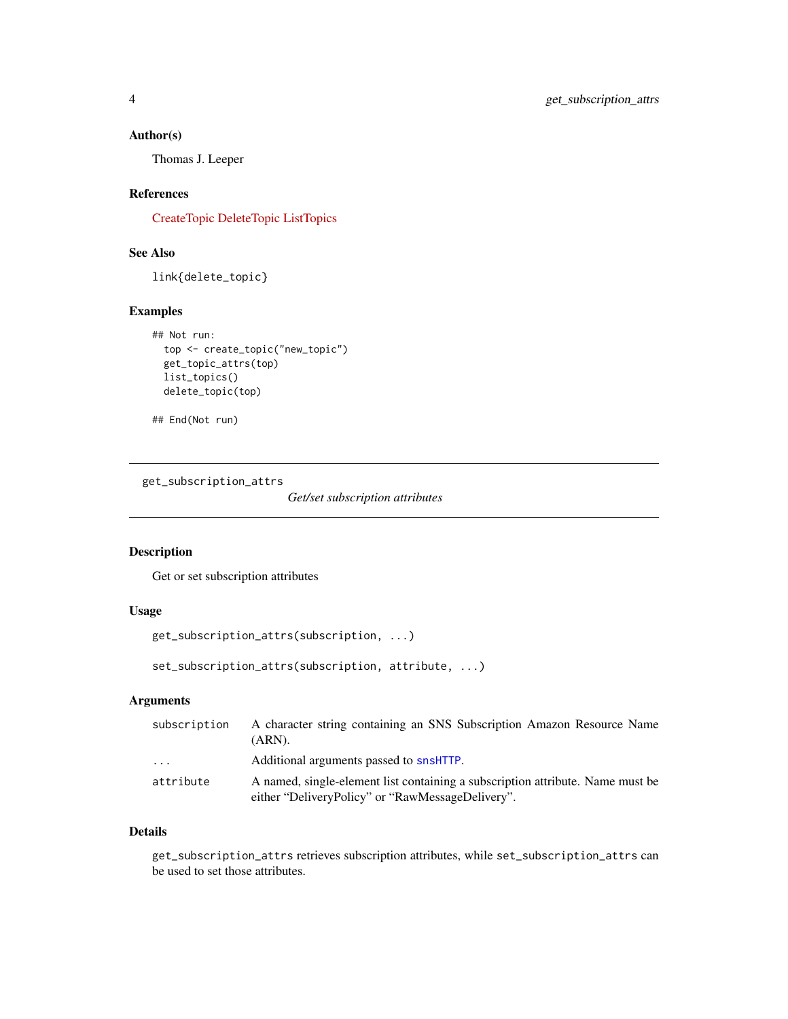# <span id="page-3-0"></span>Author(s)

Thomas J. Leeper

#### References

[CreateTopic](http://docs.aws.amazon.com/sns/latest/api/API_CreateTopic.html) [DeleteTopic](http://docs.aws.amazon.com/sns/latest/api/API_DeleteTopic.html) [ListTopics](http://docs.aws.amazon.com/sns/latest/api/API_ListTopics.html)

# See Also

link{delete\_topic}

# Examples

```
## Not run:
 top <- create_topic("new_topic")
 get_topic_attrs(top)
 list_topics()
 delete_topic(top)
```

```
## End(Not run)
```
get\_subscription\_attrs

*Get/set subscription attributes*

# Description

Get or set subscription attributes

# Usage

```
get_subscription_attrs(subscription, ...)
```

```
set_subscription_attrs(subscription, attribute, ...)
```
# Arguments

| subscription | A character string containing an SNS Subscription Amazon Resource Name<br>(ARN).                                                   |
|--------------|------------------------------------------------------------------------------------------------------------------------------------|
| .            | Additional arguments passed to snsHTTP.                                                                                            |
| attribute    | A named, single-element list containing a subscription attribute. Name must be<br>either "DeliveryPolicy" or "RawMessageDelivery". |

#### Details

get\_subscription\_attrs retrieves subscription attributes, while set\_subscription\_attrs can be used to set those attributes.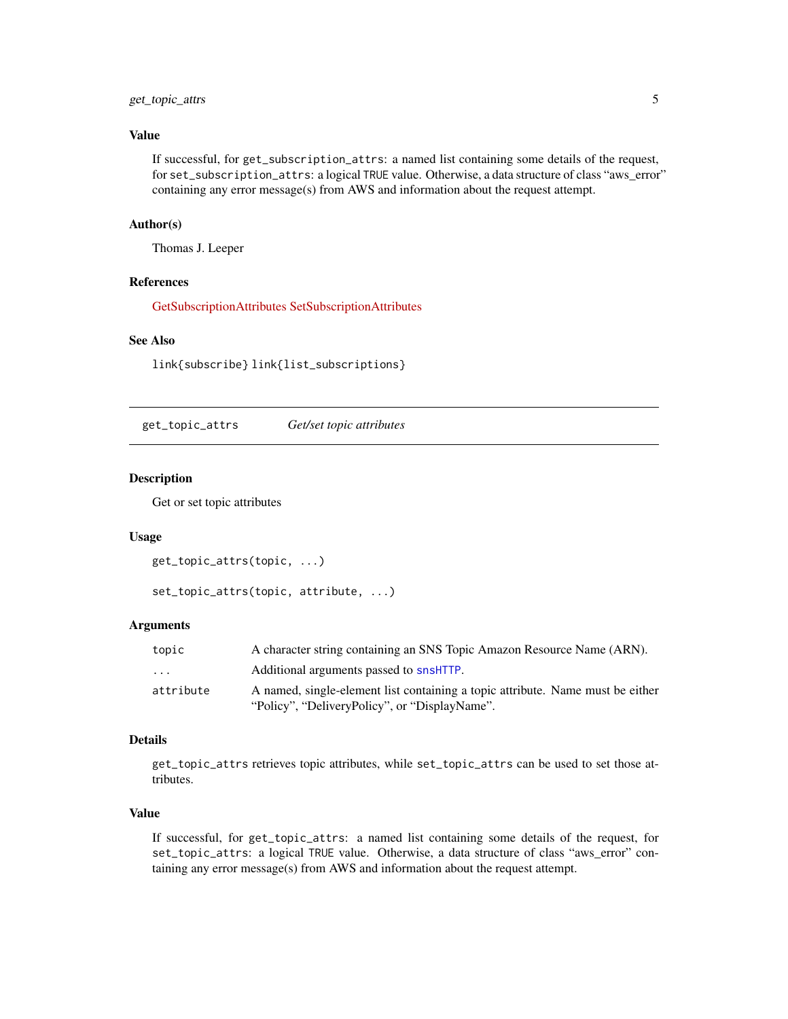# <span id="page-4-0"></span>get\_topic\_attrs 5

# Value

If successful, for get\_subscription\_attrs: a named list containing some details of the request, for set\_subscription\_attrs: a logical TRUE value. Otherwise, a data structure of class "aws\_error" containing any error message(s) from AWS and information about the request attempt.

#### Author(s)

Thomas J. Leeper

# References

[GetSubscriptionAttributes](http://docs.aws.amazon.com/sns/latest/api/API_GetSubscriptionAttributes.html) [SetSubscriptionAttributes](http://docs.aws.amazon.com/sns/latest/api/API_SetSubscriptionAttributes.html)

# See Also

link{subscribe} link{list\_subscriptions}

get\_topic\_attrs *Get/set topic attributes*

#### <span id="page-4-1"></span>Description

Get or set topic attributes

#### Usage

```
get_topic_attrs(topic, ...)
```

```
set_topic_attrs(topic, attribute, ...)
```
#### Arguments

| topic     | A character string containing an SNS Topic Amazon Resource Name (ARN).         |
|-----------|--------------------------------------------------------------------------------|
| .         | Additional arguments passed to snsHTTP.                                        |
| attribute | A named, single-element list containing a topic attribute. Name must be either |
|           | "Policy", "DeliveryPolicy", or "DisplayName".                                  |

#### Details

get\_topic\_attrs retrieves topic attributes, while set\_topic\_attrs can be used to set those attributes.

# Value

If successful, for get\_topic\_attrs: a named list containing some details of the request, for set\_topic\_attrs: a logical TRUE value. Otherwise, a data structure of class "aws\_error" containing any error message(s) from AWS and information about the request attempt.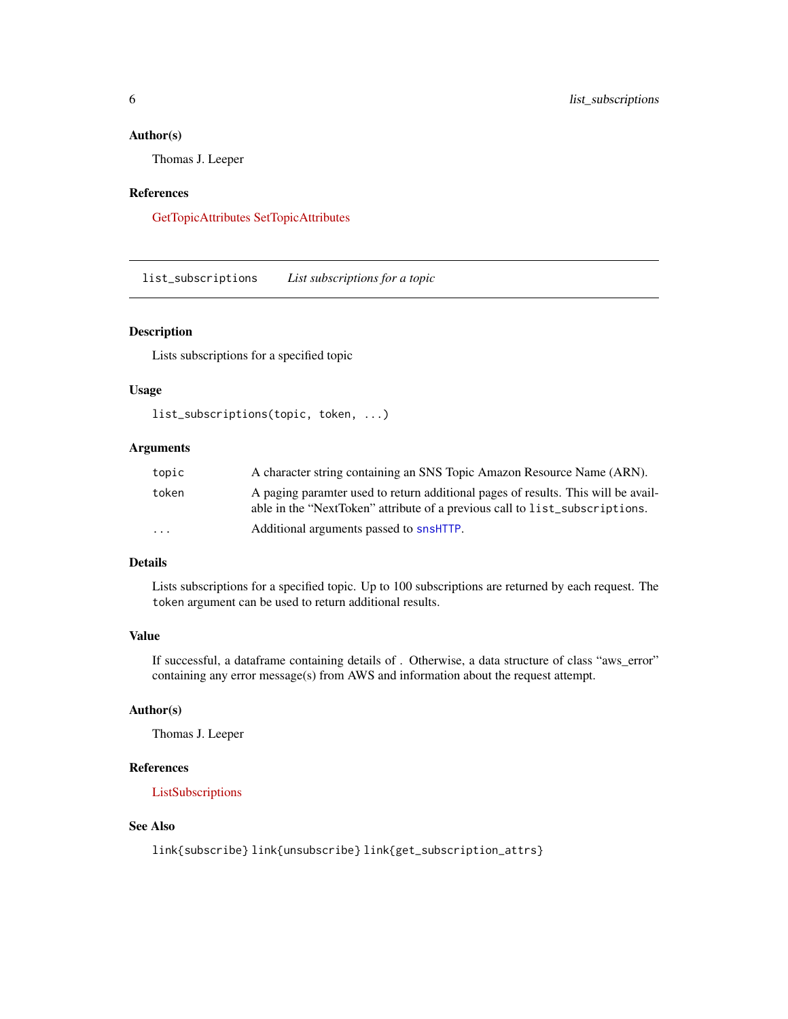#### <span id="page-5-0"></span>Author(s)

Thomas J. Leeper

#### References

[GetTopicAttributes](http://docs.aws.amazon.com/sns/latest/api/API_GetTopicAttributes.html) [SetTopicAttributes](http://docs.aws.amazon.com/sns/latest/api/API_SetTopicAttributes.html)

<span id="page-5-1"></span>list\_subscriptions *List subscriptions for a topic*

# Description

Lists subscriptions for a specified topic

# Usage

```
list_subscriptions(topic, token, ...)
```
# Arguments

| topic    | A character string containing an SNS Topic Amazon Resource Name (ARN).                                                                                           |
|----------|------------------------------------------------------------------------------------------------------------------------------------------------------------------|
| token    | A paging paramter used to return additional pages of results. This will be avail-<br>able in the "NextToken" attribute of a previous call to list_subscriptions. |
| $\cdots$ | Additional arguments passed to snsHTTP.                                                                                                                          |

# Details

Lists subscriptions for a specified topic. Up to 100 subscriptions are returned by each request. The token argument can be used to return additional results.

# Value

If successful, a dataframe containing details of . Otherwise, a data structure of class "aws\_error" containing any error message(s) from AWS and information about the request attempt.

#### Author(s)

Thomas J. Leeper

#### References

[ListSubscriptions](http://docs.aws.amazon.com/sns/latest/api/API_ListSubscriptions.html)

# See Also

link{subscribe} link{unsubscribe} link{get\_subscription\_attrs}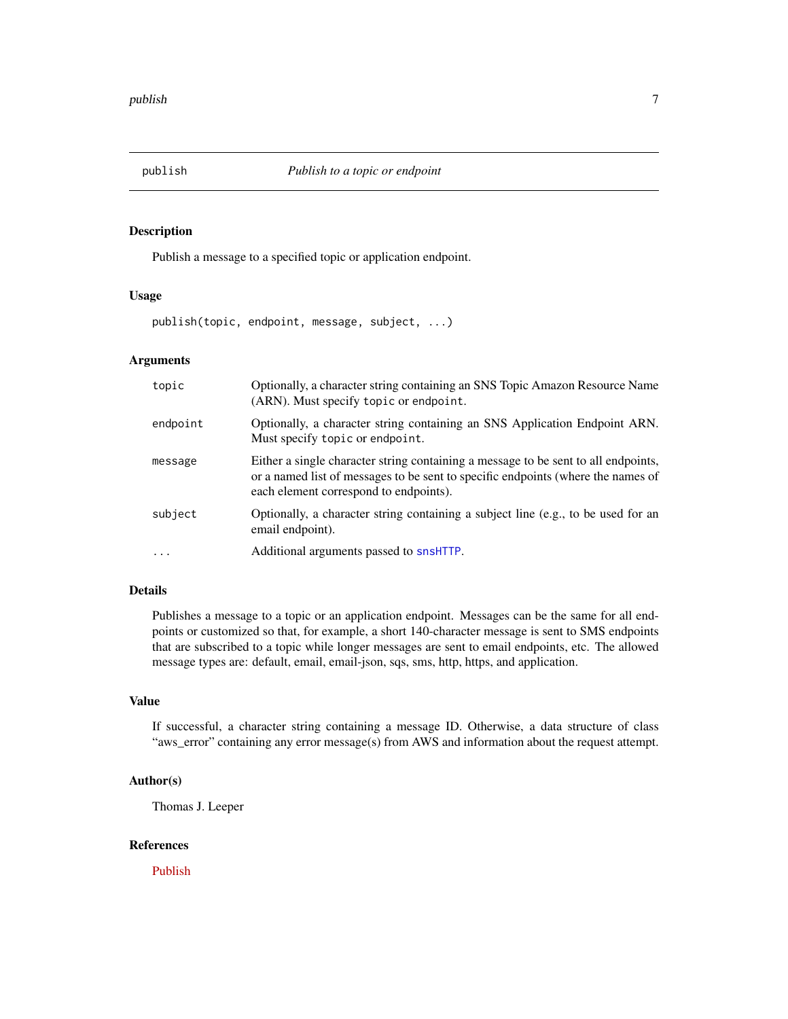<span id="page-6-0"></span>

#### Description

Publish a message to a specified topic or application endpoint.

# Usage

publish(topic, endpoint, message, subject, ...)

# Arguments

| topic    | Optionally, a character string containing an SNS Topic Amazon Resource Name<br>(ARN). Must specify topic or endpoint.                                                                                            |
|----------|------------------------------------------------------------------------------------------------------------------------------------------------------------------------------------------------------------------|
| endpoint | Optionally, a character string containing an SNS Application Endpoint ARN.<br>Must specify topic or endpoint.                                                                                                    |
| message  | Either a single character string containing a message to be sent to all endpoints,<br>or a named list of messages to be sent to specific endpoints (where the names of<br>each element correspond to endpoints). |
| subject  | Optionally, a character string containing a subject line (e.g., to be used for an<br>email endpoint).                                                                                                            |
| .        | Additional arguments passed to snsHTTP.                                                                                                                                                                          |

# Details

Publishes a message to a topic or an application endpoint. Messages can be the same for all endpoints or customized so that, for example, a short 140-character message is sent to SMS endpoints that are subscribed to a topic while longer messages are sent to email endpoints, etc. The allowed message types are: default, email, email-json, sqs, sms, http, https, and application.

# Value

If successful, a character string containing a message ID. Otherwise, a data structure of class "aws\_error" containing any error message(s) from AWS and information about the request attempt.

# Author(s)

Thomas J. Leeper

#### References

[Publish](http://docs.aws.amazon.com/sns/latest/api/API_Publish.html)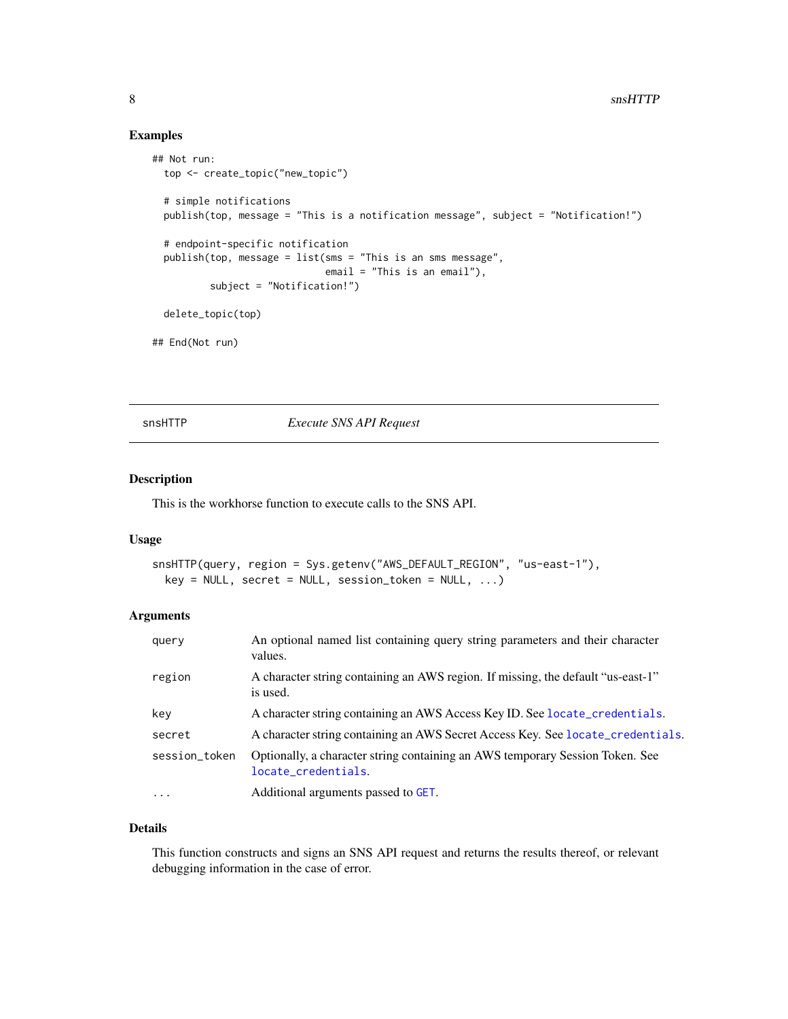# <span id="page-7-0"></span>Examples

```
## Not run:
 top <- create_topic("new_topic")
 # simple notifications
 publish(top, message = "This is a notification message", subject = "Notification!")
 # endpoint-specific notification
 publish(top, message = list(sms = "This is an sms message",
                             email = "This is an email"),
         subject = "Notification!")
 delete_topic(top)
## End(Not run)
```
<span id="page-7-1"></span>snsHTTP *Execute SNS API Request*

#### Description

This is the workhorse function to execute calls to the SNS API.

#### Usage

```
snsHTTP(query, region = Sys.getenv("AWS_DEFAULT_REGION", "us-east-1"),
 key = NULL, secret = NULL, session\_token = NULL, ...)
```
# Arguments

| query         | An optional named list containing query string parameters and their character<br>values.             |
|---------------|------------------------------------------------------------------------------------------------------|
| region        | A character string containing an AWS region. If missing, the default "us-east-1"<br>is used.         |
| key           | A character string containing an AWS Access Key ID. See locate_credentials.                          |
| secret        | A character string containing an AWS Secret Access Key. See locate_credentials.                      |
| session_token | Optionally, a character string containing an AWS temporary Session Token. See<br>locate_credentials. |
| $\ddots$      | Additional arguments passed to GET.                                                                  |

# Details

This function constructs and signs an SNS API request and returns the results thereof, or relevant debugging information in the case of error.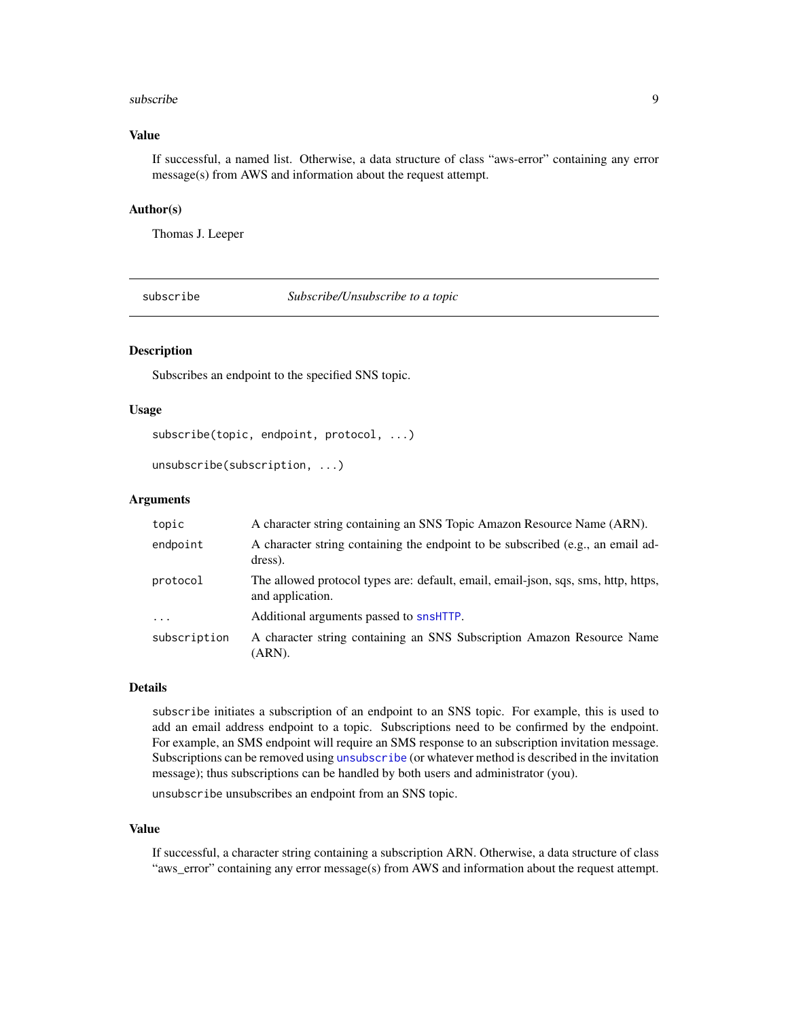#### <span id="page-8-0"></span>subscribe 9

# Value

If successful, a named list. Otherwise, a data structure of class "aws-error" containing any error message(s) from AWS and information about the request attempt.

#### Author(s)

Thomas J. Leeper

subscribe *Subscribe/Unsubscribe to a topic*

# <span id="page-8-1"></span>Description

Subscribes an endpoint to the specified SNS topic.

### Usage

```
subscribe(topic, endpoint, protocol, ...)
```
unsubscribe(subscription, ...)

## Arguments

| topic        | A character string containing an SNS Topic Amazon Resource Name (ARN).                                 |
|--------------|--------------------------------------------------------------------------------------------------------|
| endpoint     | A character string containing the endpoint to be subscribed (e.g., an email ad-<br>dress).             |
| protocol     | The allowed protocol types are: default, email, email-json, sqs, sms, http, https,<br>and application. |
| $\cdots$     | Additional arguments passed to snsHTTP.                                                                |
| subscription | A character string containing an SNS Subscription Amazon Resource Name<br>(ARN).                       |

# Details

subscribe initiates a subscription of an endpoint to an SNS topic. For example, this is used to add an email address endpoint to a topic. Subscriptions need to be confirmed by the endpoint. For example, an SMS endpoint will require an SMS response to an subscription invitation message. Subscriptions can be removed using [unsubscribe](#page-8-1) (or whatever method is described in the invitation message); thus subscriptions can be handled by both users and administrator (you).

unsubscribe unsubscribes an endpoint from an SNS topic.

#### Value

If successful, a character string containing a subscription ARN. Otherwise, a data structure of class "aws\_error" containing any error message(s) from AWS and information about the request attempt.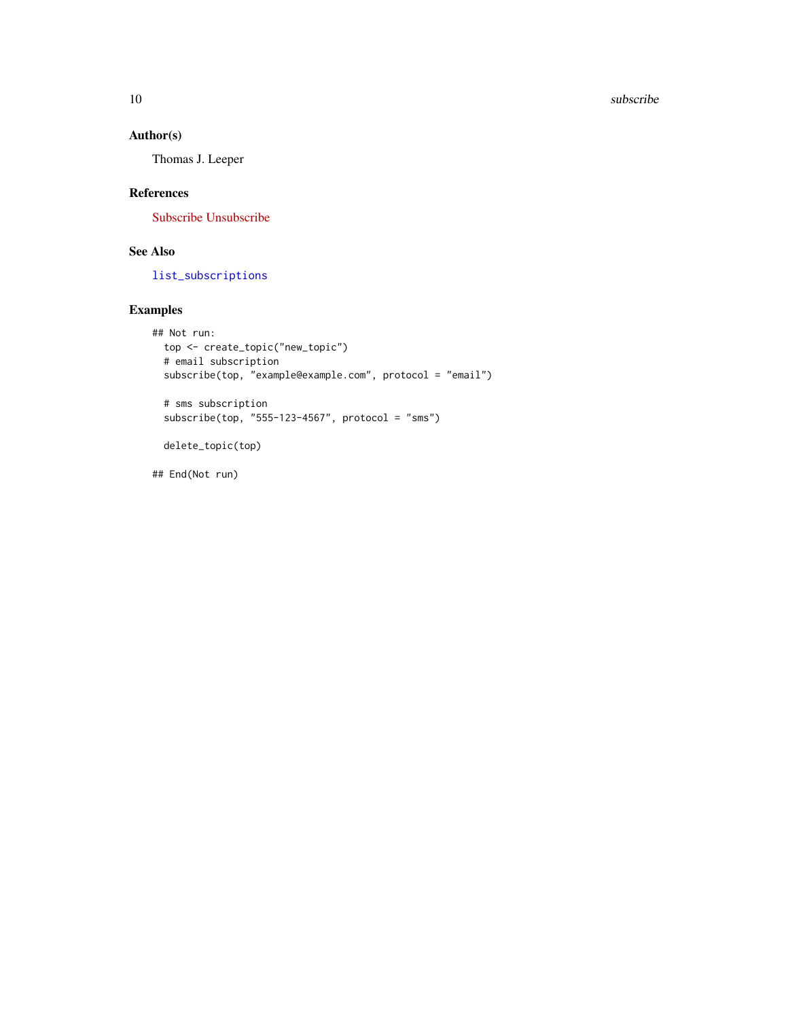# <span id="page-9-0"></span>Author(s)

Thomas J. Leeper

# References

[Subscribe](http://docs.aws.amazon.com/sns/latest/api/API_Subscribe.html) [Unsubscribe](http://docs.aws.amazon.com/sns/latest/api/API_Unsubscribe.html)

# See Also

[list\\_subscriptions](#page-5-1)

# Examples

```
## Not run:
  top <- create_topic("new_topic")
  # email subscription
  subscribe(top, "example@example.com", protocol = "email")
  # sms subscription
  subscribe(top, "555-123-4567", protocol = "sms")
  delete_topic(top)
```
## End(Not run)